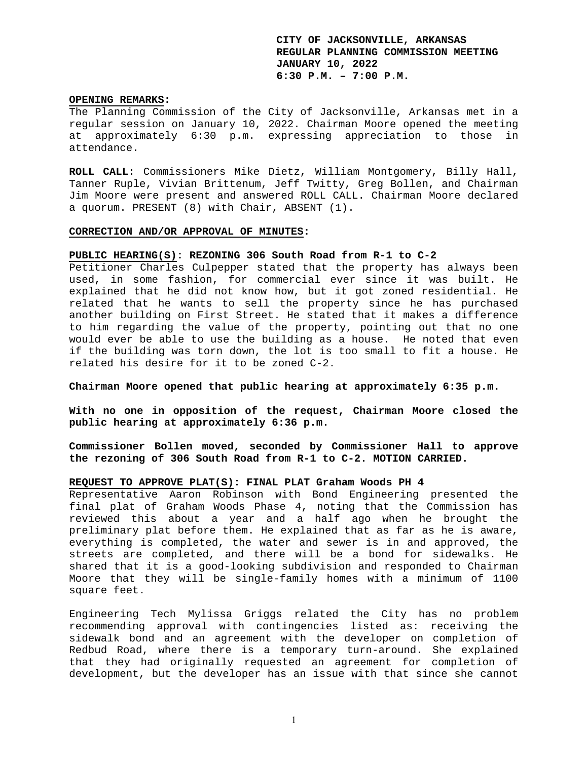#### **OPENING REMARKS:**

The Planning Commission of the City of Jacksonville, Arkansas met in a regular session on January 10, 2022. Chairman Moore opened the meeting at approximately 6:30 p.m. expressing appreciation to those in attendance.

**ROLL CALL:** Commissioners Mike Dietz, William Montgomery, Billy Hall, Tanner Ruple, Vivian Brittenum, Jeff Twitty, Greg Bollen, and Chairman Jim Moore were present and answered ROLL CALL. Chairman Moore declared a quorum. PRESENT (8) with Chair, ABSENT (1).

#### **CORRECTION AND/OR APPROVAL OF MINUTES:**

#### **PUBLIC HEARING(S): REZONING 306 South Road from R-1 to C-2**

Petitioner Charles Culpepper stated that the property has always been used, in some fashion, for commercial ever since it was built. He explained that he did not know how, but it got zoned residential. He related that he wants to sell the property since he has purchased another building on First Street. He stated that it makes a difference to him regarding the value of the property, pointing out that no one would ever be able to use the building as a house. He noted that even if the building was torn down, the lot is too small to fit a house. He related his desire for it to be zoned C-2.

**Chairman Moore opened that public hearing at approximately 6:35 p.m.** 

**With no one in opposition of the request, Chairman Moore closed the public hearing at approximately 6:36 p.m.** 

**Commissioner Bollen moved, seconded by Commissioner Hall to approve the rezoning of 306 South Road from R-1 to C-2. MOTION CARRIED.** 

# **REQUEST TO APPROVE PLAT(S): FINAL PLAT Graham Woods PH 4**

Representative Aaron Robinson with Bond Engineering presented the final plat of Graham Woods Phase 4, noting that the Commission has reviewed this about a year and a half ago when he brought the preliminary plat before them. He explained that as far as he is aware, everything is completed, the water and sewer is in and approved, the streets are completed, and there will be a bond for sidewalks. He shared that it is a good-looking subdivision and responded to Chairman Moore that they will be single-family homes with a minimum of 1100 square feet.

Engineering Tech Mylissa Griggs related the City has no problem recommending approval with contingencies listed as: receiving the sidewalk bond and an agreement with the developer on completion of Redbud Road, where there is a temporary turn-around. She explained that they had originally requested an agreement for completion of development, but the developer has an issue with that since she cannot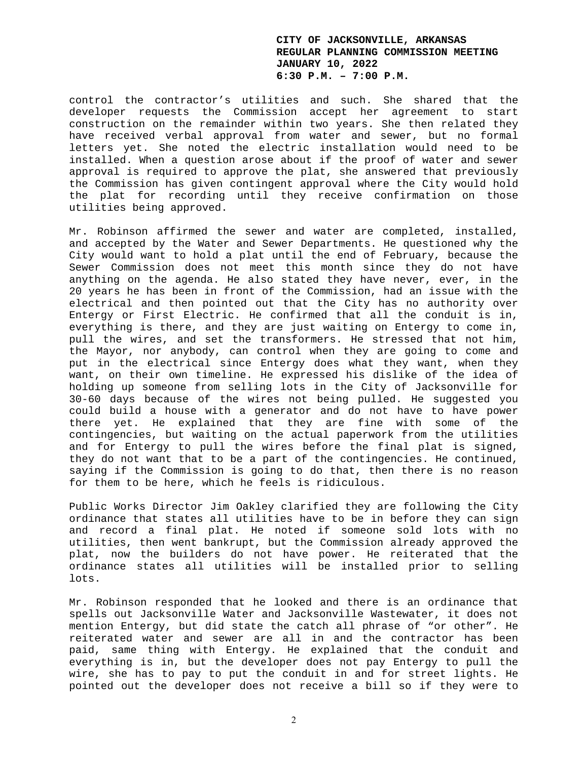control the contractor's utilities and such. She shared that the developer requests the Commission accept her agreement to start construction on the remainder within two years. She then related they have received verbal approval from water and sewer, but no formal letters yet. She noted the electric installation would need to be installed. When a question arose about if the proof of water and sewer approval is required to approve the plat, she answered that previously the Commission has given contingent approval where the City would hold the plat for recording until they receive confirmation on those utilities being approved.

Mr. Robinson affirmed the sewer and water are completed, installed, and accepted by the Water and Sewer Departments. He questioned why the City would want to hold a plat until the end of February, because the Sewer Commission does not meet this month since they do not have anything on the agenda. He also stated they have never, ever, in the 20 years he has been in front of the Commission, had an issue with the electrical and then pointed out that the City has no authority over Entergy or First Electric. He confirmed that all the conduit is in, everything is there, and they are just waiting on Entergy to come in, pull the wires, and set the transformers. He stressed that not him, the Mayor, nor anybody, can control when they are going to come and put in the electrical since Entergy does what they want, when they want, on their own timeline. He expressed his dislike of the idea of holding up someone from selling lots in the City of Jacksonville for 30-60 days because of the wires not being pulled. He suggested you could build a house with a generator and do not have to have power there yet. He explained that they are fine with some of the contingencies, but waiting on the actual paperwork from the utilities and for Entergy to pull the wires before the final plat is signed, they do not want that to be a part of the contingencies. He continued, saying if the Commission is going to do that, then there is no reason for them to be here, which he feels is ridiculous.

Public Works Director Jim Oakley clarified they are following the City ordinance that states all utilities have to be in before they can sign and record a final plat. He noted if someone sold lots with no utilities, then went bankrupt, but the Commission already approved the plat, now the builders do not have power. He reiterated that the ordinance states all utilities will be installed prior to selling lots.

Mr. Robinson responded that he looked and there is an ordinance that spells out Jacksonville Water and Jacksonville Wastewater, it does not mention Entergy, but did state the catch all phrase of "or other". He reiterated water and sewer are all in and the contractor has been paid, same thing with Entergy. He explained that the conduit and everything is in, but the developer does not pay Entergy to pull the wire, she has to pay to put the conduit in and for street lights. He pointed out the developer does not receive a bill so if they were to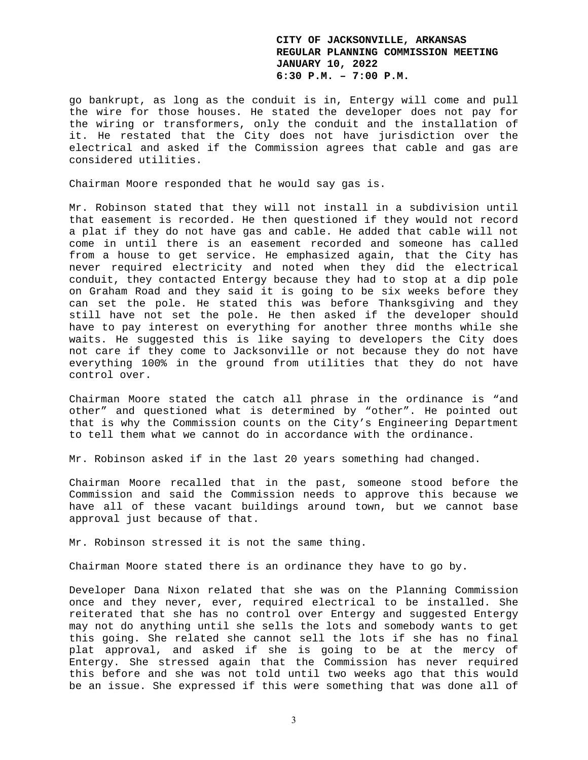go bankrupt, as long as the conduit is in, Entergy will come and pull the wire for those houses. He stated the developer does not pay for the wiring or transformers, only the conduit and the installation of it. He restated that the City does not have jurisdiction over the electrical and asked if the Commission agrees that cable and gas are considered utilities.

Chairman Moore responded that he would say gas is.

Mr. Robinson stated that they will not install in a subdivision until that easement is recorded. He then questioned if they would not record a plat if they do not have gas and cable. He added that cable will not come in until there is an easement recorded and someone has called from a house to get service. He emphasized again, that the City has never required electricity and noted when they did the electrical conduit, they contacted Entergy because they had to stop at a dip pole on Graham Road and they said it is going to be six weeks before they can set the pole. He stated this was before Thanksgiving and they still have not set the pole. He then asked if the developer should have to pay interest on everything for another three months while she waits. He suggested this is like saying to developers the City does not care if they come to Jacksonville or not because they do not have everything 100% in the ground from utilities that they do not have control over.

Chairman Moore stated the catch all phrase in the ordinance is "and other" and questioned what is determined by "other". He pointed out that is why the Commission counts on the City's Engineering Department to tell them what we cannot do in accordance with the ordinance.

Mr. Robinson asked if in the last 20 years something had changed.

Chairman Moore recalled that in the past, someone stood before the Commission and said the Commission needs to approve this because we have all of these vacant buildings around town, but we cannot base approval just because of that.

Mr. Robinson stressed it is not the same thing.

Chairman Moore stated there is an ordinance they have to go by.

Developer Dana Nixon related that she was on the Planning Commission once and they never, ever, required electrical to be installed. She reiterated that she has no control over Entergy and suggested Entergy may not do anything until she sells the lots and somebody wants to get this going. She related she cannot sell the lots if she has no final plat approval, and asked if she is going to be at the mercy of Entergy. She stressed again that the Commission has never required this before and she was not told until two weeks ago that this would be an issue. She expressed if this were something that was done all of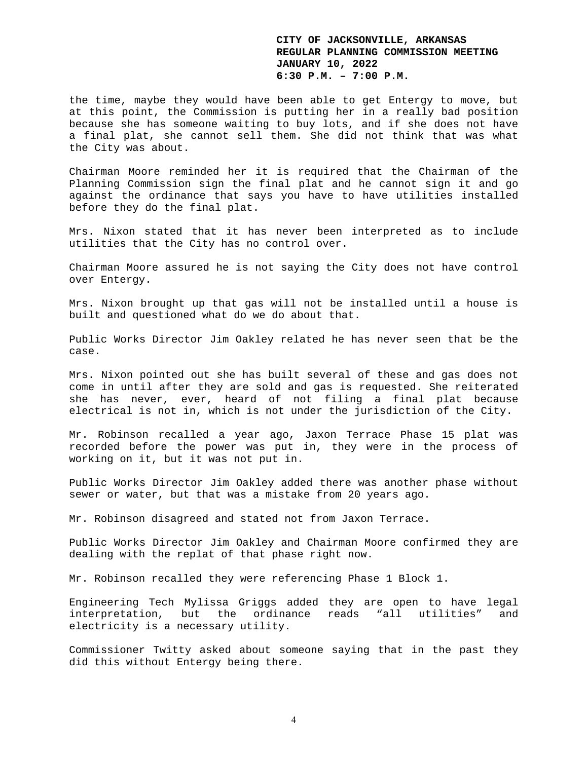the time, maybe they would have been able to get Entergy to move, but at this point, the Commission is putting her in a really bad position because she has someone waiting to buy lots, and if she does not have a final plat, she cannot sell them. She did not think that was what the City was about.

Chairman Moore reminded her it is required that the Chairman of the Planning Commission sign the final plat and he cannot sign it and go against the ordinance that says you have to have utilities installed before they do the final plat.

Mrs. Nixon stated that it has never been interpreted as to include utilities that the City has no control over.

Chairman Moore assured he is not saying the City does not have control over Entergy.

Mrs. Nixon brought up that gas will not be installed until a house is built and questioned what do we do about that.

Public Works Director Jim Oakley related he has never seen that be the case.

Mrs. Nixon pointed out she has built several of these and gas does not come in until after they are sold and gas is requested. She reiterated she has never, ever, heard of not filing a final plat because electrical is not in, which is not under the jurisdiction of the City.

Mr. Robinson recalled a year ago, Jaxon Terrace Phase 15 plat was recorded before the power was put in, they were in the process of working on it, but it was not put in.

Public Works Director Jim Oakley added there was another phase without sewer or water, but that was a mistake from 20 years ago.

Mr. Robinson disagreed and stated not from Jaxon Terrace.

Public Works Director Jim Oakley and Chairman Moore confirmed they are dealing with the replat of that phase right now.

Mr. Robinson recalled they were referencing Phase 1 Block 1.

Engineering Tech Mylissa Griggs added they are open to have legal interpretation, but the ordinance reads "all utilities" and electricity is a necessary utility.

Commissioner Twitty asked about someone saying that in the past they did this without Entergy being there.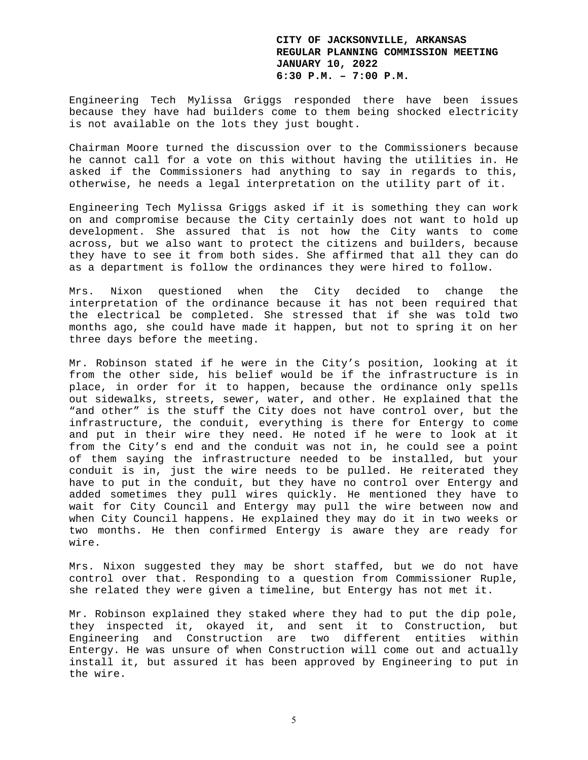Engineering Tech Mylissa Griggs responded there have been issues because they have had builders come to them being shocked electricity is not available on the lots they just bought.

Chairman Moore turned the discussion over to the Commissioners because he cannot call for a vote on this without having the utilities in. He asked if the Commissioners had anything to say in regards to this, otherwise, he needs a legal interpretation on the utility part of it.

Engineering Tech Mylissa Griggs asked if it is something they can work on and compromise because the City certainly does not want to hold up development. She assured that is not how the City wants to come across, but we also want to protect the citizens and builders, because they have to see it from both sides. She affirmed that all they can do as a department is follow the ordinances they were hired to follow.

Mrs. Nixon questioned when the City decided to change the interpretation of the ordinance because it has not been required that the electrical be completed. She stressed that if she was told two months ago, she could have made it happen, but not to spring it on her three days before the meeting.

Mr. Robinson stated if he were in the City's position, looking at it from the other side, his belief would be if the infrastructure is in place, in order for it to happen, because the ordinance only spells out sidewalks, streets, sewer, water, and other. He explained that the "and other" is the stuff the City does not have control over, but the infrastructure, the conduit, everything is there for Entergy to come and put in their wire they need. He noted if he were to look at it from the City's end and the conduit was not in, he could see a point of them saying the infrastructure needed to be installed, but your conduit is in, just the wire needs to be pulled. He reiterated they have to put in the conduit, but they have no control over Entergy and added sometimes they pull wires quickly. He mentioned they have to wait for City Council and Entergy may pull the wire between now and when City Council happens. He explained they may do it in two weeks or two months. He then confirmed Entergy is aware they are ready for wire.

Mrs. Nixon suggested they may be short staffed, but we do not have control over that. Responding to a question from Commissioner Ruple, she related they were given a timeline, but Entergy has not met it.

Mr. Robinson explained they staked where they had to put the dip pole, they inspected it, okayed it, and sent it to Construction, but Engineering and Construction are two different entities within Entergy. He was unsure of when Construction will come out and actually install it, but assured it has been approved by Engineering to put in the wire.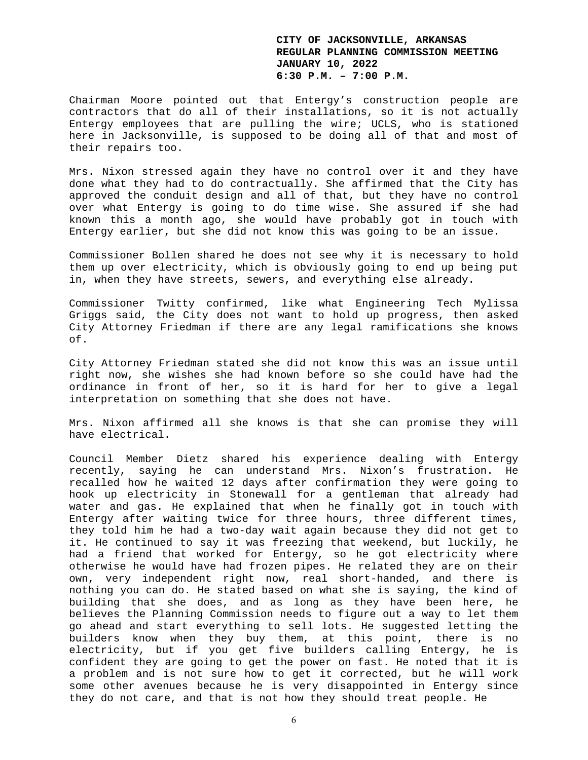Chairman Moore pointed out that Entergy's construction people are contractors that do all of their installations, so it is not actually Entergy employees that are pulling the wire; UCLS, who is stationed here in Jacksonville, is supposed to be doing all of that and most of their repairs too.

Mrs. Nixon stressed again they have no control over it and they have done what they had to do contractually. She affirmed that the City has approved the conduit design and all of that, but they have no control over what Entergy is going to do time wise. She assured if she had known this a month ago, she would have probably got in touch with Entergy earlier, but she did not know this was going to be an issue.

Commissioner Bollen shared he does not see why it is necessary to hold them up over electricity, which is obviously going to end up being put in, when they have streets, sewers, and everything else already.

Commissioner Twitty confirmed, like what Engineering Tech Mylissa Griggs said, the City does not want to hold up progress, then asked City Attorney Friedman if there are any legal ramifications she knows of.

City Attorney Friedman stated she did not know this was an issue until right now, she wishes she had known before so she could have had the ordinance in front of her, so it is hard for her to give a legal interpretation on something that she does not have.

Mrs. Nixon affirmed all she knows is that she can promise they will have electrical.

Council Member Dietz shared his experience dealing with Entergy recently, saying he can understand Mrs. Nixon's frustration. He recalled how he waited 12 days after confirmation they were going to hook up electricity in Stonewall for a gentleman that already had water and gas. He explained that when he finally got in touch with Entergy after waiting twice for three hours, three different times, they told him he had a two-day wait again because they did not get to it. He continued to say it was freezing that weekend, but luckily, he had a friend that worked for Entergy, so he got electricity where otherwise he would have had frozen pipes. He related they are on their own, very independent right now, real short-handed, and there is nothing you can do. He stated based on what she is saying, the kind of building that she does, and as long as they have been here, he believes the Planning Commission needs to figure out a way to let them go ahead and start everything to sell lots. He suggested letting the builders know when they buy them, at this point, there is no electricity, but if you get five builders calling Entergy, he is confident they are going to get the power on fast. He noted that it is a problem and is not sure how to get it corrected, but he will work some other avenues because he is very disappointed in Entergy since they do not care, and that is not how they should treat people. He